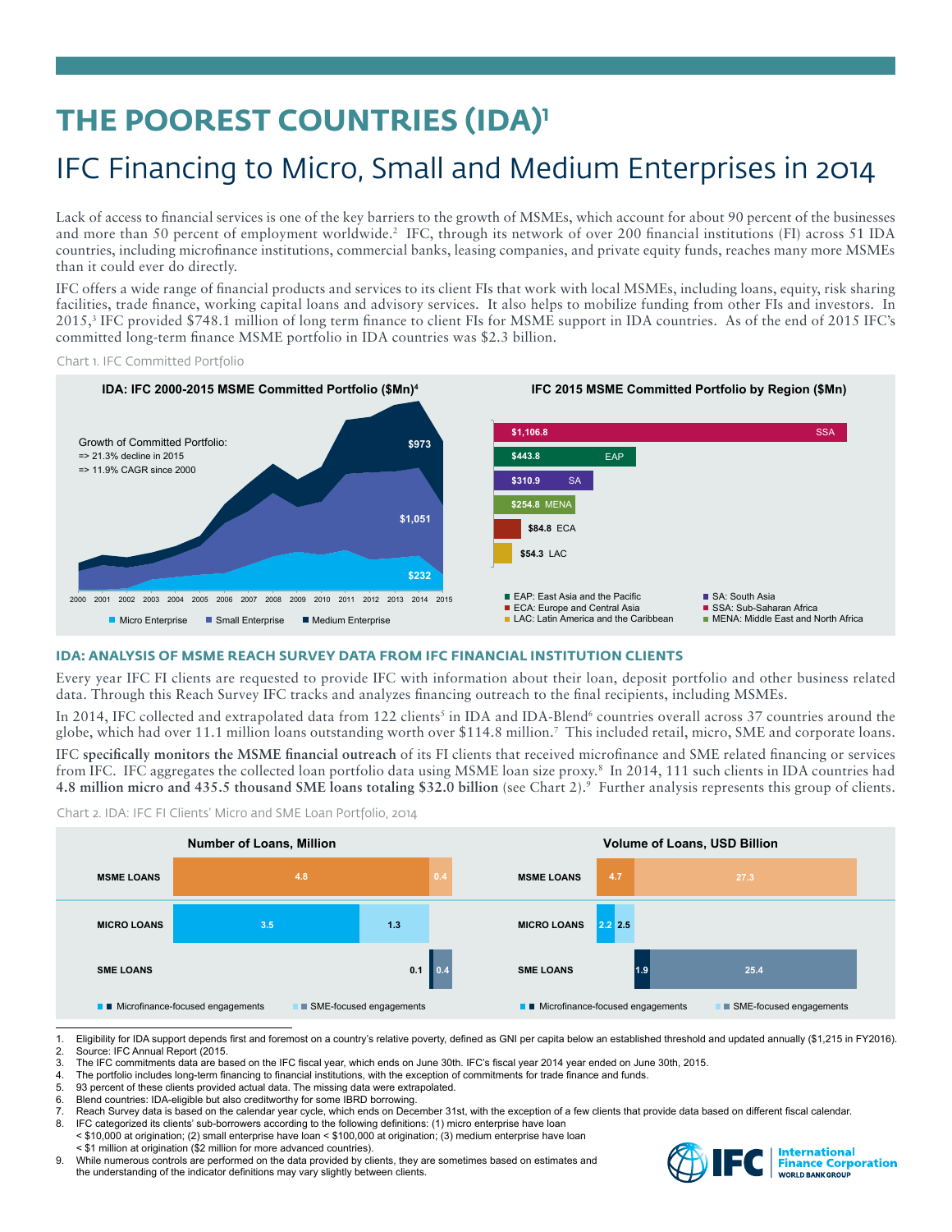# **THE POOREST COUNTRIES (IDA)1**

# IFC Financing to Micro, Small and Medium Enterprises in 2014

Lack of access to financial services is one of the key barriers to the growth of MSMEs, which account for about 90 percent of the businesses and more than 50 percent of employment worldwide.2 IFC, through its network of over 200 financial institutions (FI) across 51 IDA countries, including microfinance institutions, commercial banks, leasing companies, and private equity funds, reaches many more MSMEs than it could ever do directly.

IFC offers a wide range of financial products and services to its client FIs that work with local MSMEs, including loans, equity, risk sharing facilities, trade finance, working capital loans and advisory services. It also helps to mobilize funding from other FIs and investors. In 2015,3 IFC provided \$748.1 million of long term finance to client FIs for MSME support in IDA countries. As of the end of 2015 IFC's committed long-term finance MSME portfolio in IDA countries was \$2.3 billion.

Chart 1. IFC Committed Portfolio



#### **IDA: ANALYSIS OF MSME REACH SURVEY DATA FROM IFC FINANCIAL INSTITUTION CLIENTS**

Every year IFC FI clients are requested to provide IFC with information about their loan, deposit portfolio and other business related data. Through this Reach Survey IFC tracks and analyzes financing outreach to the final recipients, including MSMEs.

In 2014, IFC collected and extrapolated data from 122 clients<sup>5</sup> in IDA and IDA-Blend<sup>6</sup> countries overall across 37 countries around the globe, which had over 11.1 million loans outstanding worth over \$114.8 million.7 This included retail, micro, SME and corporate loans.

IFC **specifically monitors the MSME financial outreach** of its FI clients that received microfinance and SME related financing or services from IFC. IFC aggregates the collected loan portfolio data using MSME loan size proxy.<sup>8</sup> In 2014, 111 such clients in IDA countries had **4.8 million micro and 435.5 thousand SME loans totaling \$32.0 billion** (see Chart 2).9 Further analysis represents this group of clients.

Chart 2. IDA: IFC FI Clients' Micro and SME Loan Portfolio, 2014



<sup>1.</sup> Eligibility for IDA support depends first and foremost on a country's relative poverty, defined as GNI per capita below an established threshold and updated annually (\$1,215 in FY2016).<br>2. Source: IFC Annual Report (201

2. Source: IFC Annual Report (2015.<br>3. The IFC commitments data are ba

5. 93 percent of these clients provided actual data. The missing data were extrapolated.<br>6. Blend countries: IDA-eligible but also creditworthy for some IBRD borrowing. Blend countries: IDA-eligible but also creditworthy for some IBRD borrowing.

< \$1 million at origination (\$2 million for more advanced countries).

<sup>9.</sup> While numerous controls are performed on the data provided by clients, they are sometimes based on estimates and the understanding of the indicator definitions may vary slightly between clients.



<sup>3.</sup> The IFC commitments data are based on the IFC fiscal year, which ends on June 30th. IFC's fiscal year 2014 year ended on June 30th, 2015.<br>4. The portfolio includes long-term financing to financial institutions, with the

The portfolio includes long-term financing to financial institutions, with the exception of commitments for trade finance and funds.

<sup>7.</sup> Reach Survey data is based on the calendar year cycle, which ends on December 31st, with the exception of a few clients that provide data based on different fiscal calendar.<br>8. IEC categorized its clients' sub-borrowers

IFC categorized its clients' sub-borrowers according to the following definitions: (1) micro enterprise have loan < \$10,000 at origination; (2) small enterprise have loan < \$100,000 at origination; (3) medium enterprise have loan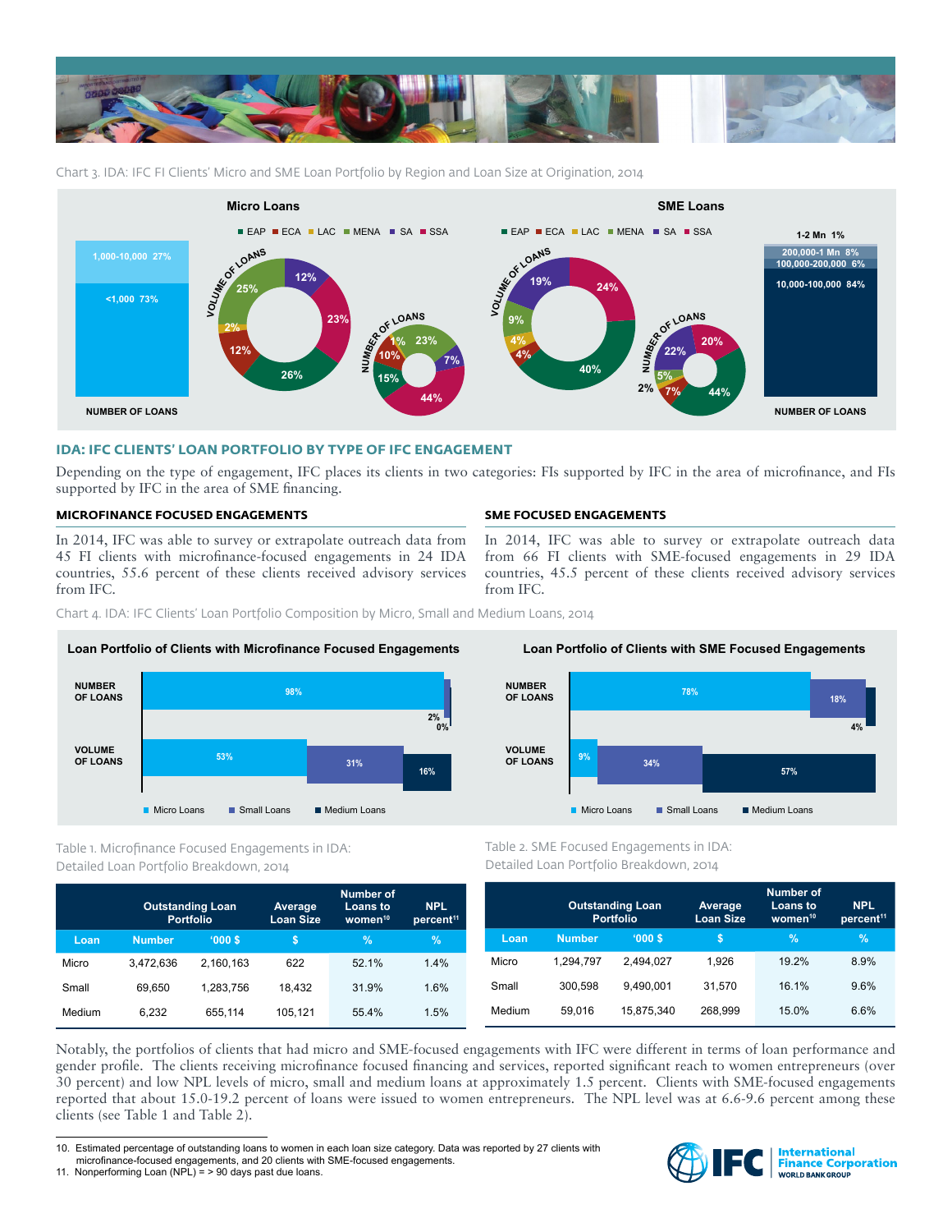

Chart 3. IDA: IFC FI Clients' Micro and SME Loan Portfolio by Region and Loan Size at Origination, 2014



#### **IDA: IFC CLIENTS' LOAN PORTFOLIO BY TYPE OF IFC ENGAGEMENT**

Depending on the type of engagement, IFC places its clients in two categories: FIs supported by IFC in the area of microfinance, and FIs supported by IFC in the area of SME financing.

# **MICROFINANCE FOCUSED ENGAGEMENTS**

In 2014, IFC was able to survey or extrapolate outreach data from 45 FI clients with microfinance-focused engagements in 24 IDA countries, 55.6 percent of these clients received advisory services from IFC.

# **SME FOCUSED ENGAGEMENTS**

In 2014, IFC was able to survey or extrapolate outreach data from 66 FI clients with SME-focused engagements in 29 IDA countries, 45.5 percent of these clients received advisory services from IFC.

Chart 4. IDA: IFC Clients' Loan Portfolio Composition by Micro, Small and Medium Loans, 2014



# Table 1. Microfinance Focused Engagements in IDA: Detailed Loan Portfolio Breakdown, 2014

|        | <b>Outstanding Loan</b><br><b>Portfolio</b> |           | Average<br><b>Loan Size</b> | Number of<br>Loans to<br>women <sup>10</sup> | <b>NPL</b><br>percent <sup>11</sup> |
|--------|---------------------------------------------|-----------|-----------------------------|----------------------------------------------|-------------------------------------|
| Loan   | <b>Number</b>                               | '000S     | \$                          | $\%$                                         | $\%$                                |
| Micro  | 3.472.636                                   | 2.160.163 | 622                         | 52.1%                                        | 1.4%                                |
| Small  | 69.650                                      | 1.283.756 | 18.432                      | 31.9%                                        | 1.6%                                |
| Medium | 6.232                                       | 655,114   | 105.121                     | 55.4%                                        | 1.5%                                |





Table 2. SME Focused Engagements in IDA: Detailed Loan Portfolio Breakdown, 2014

|        | <b>Outstanding Loan</b><br><b>Portfolio</b> |            | Average<br><b>Loan Size</b> | Number of<br>Loans to<br>women <sup>10</sup> | <b>NPL</b><br>percent <sup>11</sup> |
|--------|---------------------------------------------|------------|-----------------------------|----------------------------------------------|-------------------------------------|
| Loan   | <b>Number</b>                               | '000S      | S                           | l%                                           | $\mathcal{A}$                       |
| Micro  | 1.294.797                                   | 2.494.027  | 1.926                       | 19.2%                                        | 8.9%                                |
| Small  | 300.598                                     | 9.490.001  | 31.570                      | 16.1%                                        | 9.6%                                |
| Medium | 59.016                                      | 15.875.340 | 268.999                     | 15.0%                                        | 6.6%                                |

Notably, the portfolios of clients that had micro and SME-focused engagements with IFC were different in terms of loan performance and gender profile. The clients receiving microfinance focused financing and services, reported significant reach to women entrepreneurs (over 30 percent) and low NPL levels of micro, small and medium loans at approximately 1.5 percent. Clients with SME-focused engagements reported that about 15.0-19.2 percent of loans were issued to women entrepreneurs. The NPL level was at 6.6-9.6 percent among these clients (see Table 1 and Table 2).



<sup>10.</sup> Estimated percentage of outstanding loans to women in each loan size category. Data was reported by 27 clients with microfinance-focused engagements, and 20 clients with SME-focused engagements.

<sup>11.</sup> Nonperforming Loan (NPL) = > 90 days past due loans.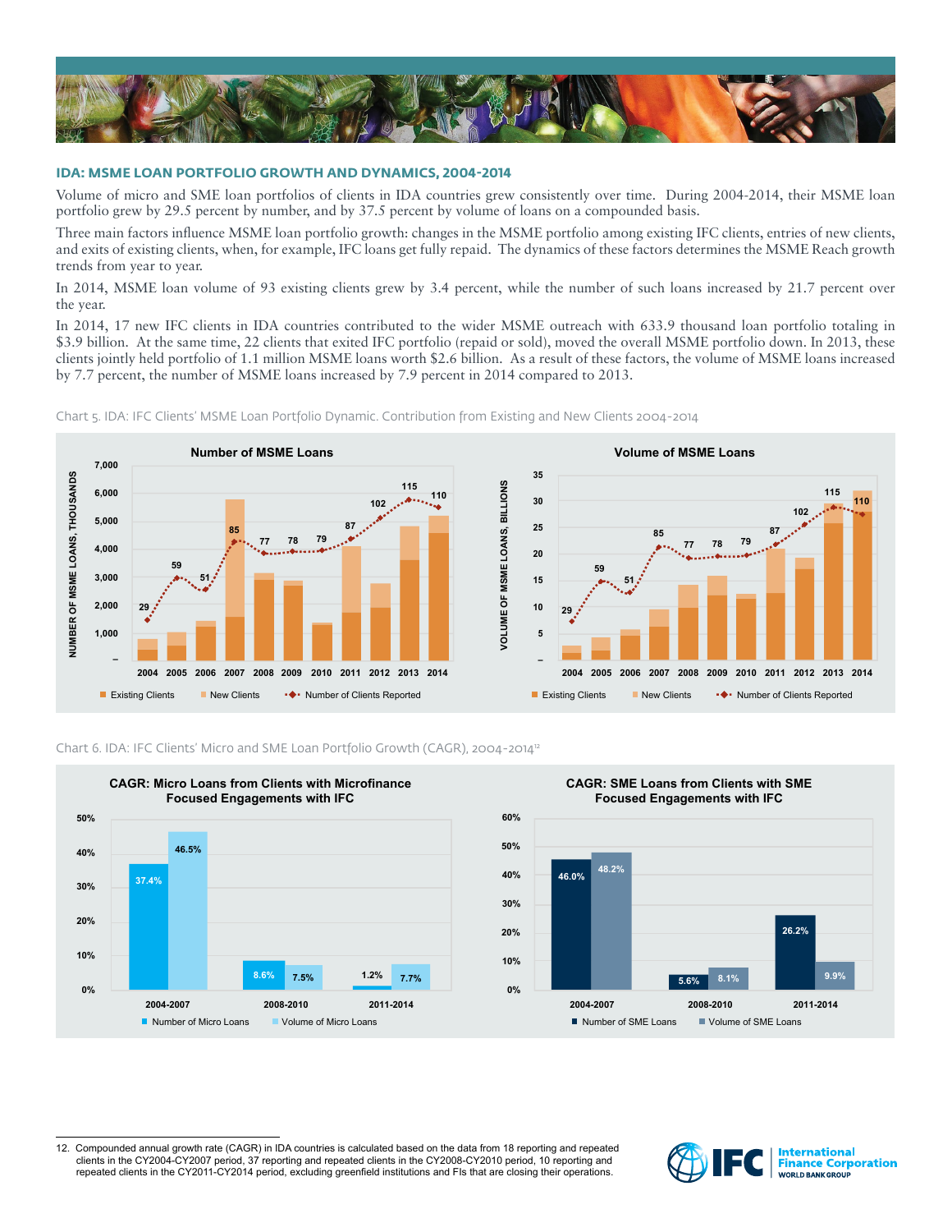

#### **IDA: MSME LOAN PORTFOLIO GROWTH AND DYNAMICS, 2004-2014**

Volume of micro and SME loan portfolios of clients in IDA countries grew consistently over time. During 2004-2014, their MSME loan portfolio grew by 29.5 percent by number, and by 37.5 percent by volume of loans on a compounded basis.

Three main factors influence MSME loan portfolio growth: changes in the MSME portfolio among existing IFC clients, entries of new clients, and exits of existing clients, when, for example, IFC loans get fully repaid. The dynamics of these factors determines the MSME Reach growth trends from year to year.

In 2014, MSME loan volume of 93 existing clients grew by 3.4 percent, while the number of such loans increased by 21.7 percent over the year.

In 2014, 17 new IFC clients in IDA countries contributed to the wider MSME outreach with 633.9 thousand loan portfolio totaling in \$3.9 billion. At the same time, 22 clients that exited IFC portfolio (repaid or sold), moved the overall MSME portfolio down. In 2013, these clients jointly held portfolio of 1.1 million MSME loans worth \$2.6 billion. As a result of these factors, the volume of MSME loans increased by 7.7 percent, the number of MSME loans increased by 7.9 percent in 2014 compared to 2013.



**VOLUME OF MSME LOANS, BILLIONS 2004 2005 2006 2007 2008 2009 2010 2011 2012 2013 2014** ■ Existing Clients ■ New Clients → Number of Clients Reported **35 30 25 20 15 10 5 – 29 59 51 79 102 <sup>115</sup> <sup>110</sup> 87 85 77 78**

Chart 6. IDA: IFC Clients' Micro and SME Loan Portfolio Growth (CAGR), 2004-201412



**CAGR: SME Loans from Clients with SME** 

<sup>12.</sup> Compounded annual growth rate (CAGR) in IDA countries is calculated based on the data from 18 reporting and repeated clients in the CY2004-CY2007 period, 37 reporting and repeated clients in the CY2008-CY2010 period, 10 reporting and



Chart 5. IDA: IFC Clients' MSME Loan Portfolio Dynamic. Contribution from Existing and New Clients 2004-2014